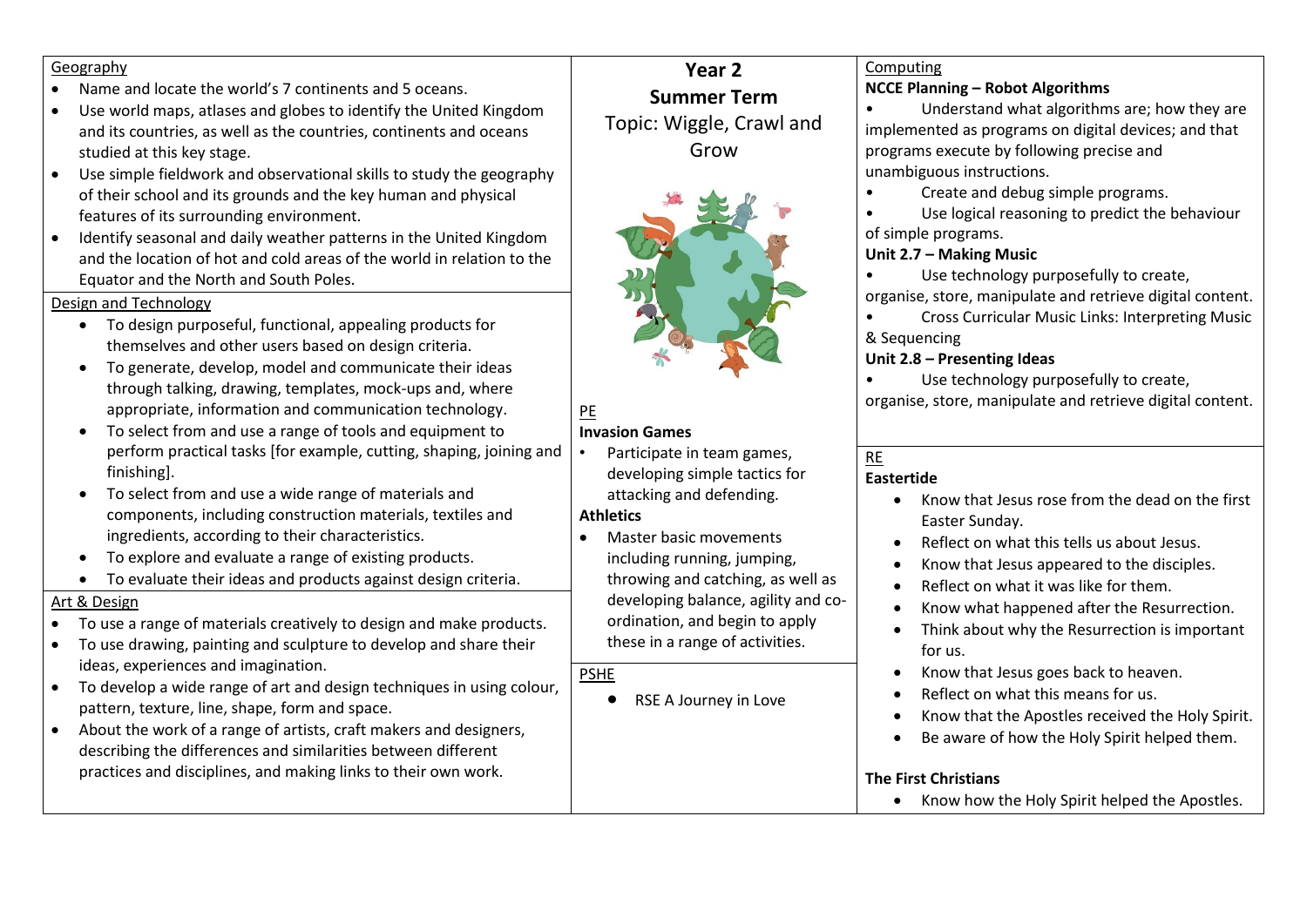#### Geography

- Name and locate the world's 7 continents and 5 oceans.
- Use world maps, atlases and globes to identify the United Kingdom and its countries, as well as the countries, continents and oceans studied at this key stage.
- Use simple fieldwork and observational skills to study the geography of their school and its grounds and the key human and physical features of its surrounding environment.
- Identify seasonal and daily weather patterns in the United Kingdom and the location of hot and cold areas of the world in relation to the Equator and the North and South Poles.

#### Design and Technology

- To design purposeful, functional, appealing products for themselves and other users based on design criteria.
- To generate, develop, model and communicate their ideas through talking, drawing, templates, mock-ups and, where appropriate, information and communication technology.
- To select from and use a range of tools and equipment to perform practical tasks [for example, cutting, shaping, joining and finishing].
- To select from and use a wide range of materials and components, including construction materials, textiles and ingredients, according to their characteristics.
- To explore and evaluate a range of existing products.
- To evaluate their ideas and products against design criteria.

### Art & Design

- To use a range of materials creatively to design and make products.
- To use drawing, painting and sculpture to develop and share their ideas, experiences and imagination.
- To develop a wide range of art and design techniques in using colour, pattern, texture, line, shape, form and space.
- About the work of a range of artists, craft makers and designers, describing the differences and similarities between different practices and disciplines, and making links to their own work.

# **Year 2 Summer Term** Topic: Wiggle, Crawl and Grow



## PE

### **Invasion Games**

• Participate in team games, developing simple tactics for attacking and defending.

### **Athletics**

• Master basic movements including running, jumping, throwing and catching, as well as developing balance, agility and coordination, and begin to apply these in a range of activities.

### PSHE

• RSE A Journey in Love

## Computing

### **NCCE Planning – Robot Algorithms**

• Understand what algorithms are; how they are implemented as programs on digital devices; and that programs execute by following precise and unambiguous instructions.

• Create and debug simple programs.

• Use logical reasoning to predict the behaviour of simple programs.

### **Unit 2.7 – Making Music**

• Use technology purposefully to create, organise, store, manipulate and retrieve digital content.

• Cross Curricular Music Links: Interpreting Music & Sequencing

### **Unit 2.8 – Presenting Ideas**

• Use technology purposefully to create, organise, store, manipulate and retrieve digital content.

### RE

### **Eastertide**

- Know that Jesus rose from the dead on the first Easter Sunday.
- Reflect on what this tells us about Jesus.
- Know that Jesus appeared to the disciples.
- Reflect on what it was like for them.
- Know what happened after the Resurrection.
- Think about why the Resurrection is important for us.
- Know that Jesus goes back to heaven.
- Reflect on what this means for us.
- Know that the Apostles received the Holy Spirit.
- Be aware of how the Holy Spirit helped them.

### **The First Christians**

• Know how the Holy Spirit helped the Apostles.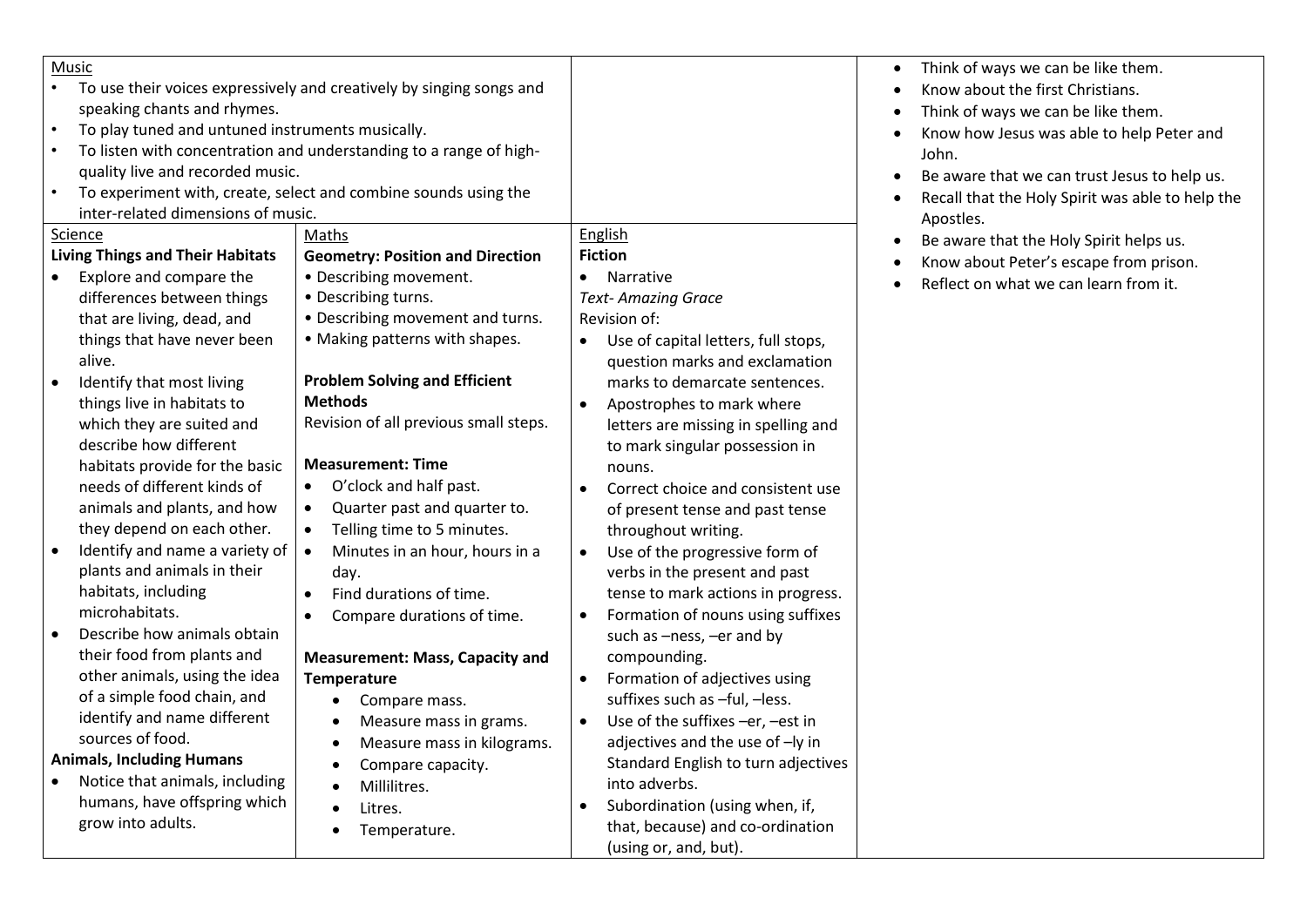|                                  | <b>Music</b>                                                         |                                             |                                                  |
|----------------------------------|----------------------------------------------------------------------|---------------------------------------------|--------------------------------------------------|
|                                  | To use their voices expressively and creatively by singing songs and |                                             |                                                  |
|                                  | speaking chants and rhymes.                                          |                                             |                                                  |
| $\bullet$                        | To play tuned and untuned instruments musically.                     |                                             |                                                  |
| $\bullet$                        | To listen with concentration and understanding to a range of high-   |                                             |                                                  |
|                                  | quality live and recorded music.                                     |                                             |                                                  |
| $\bullet$                        | To experiment with, create, select and combine sounds using the      |                                             |                                                  |
|                                  | inter-related dimensions of music.                                   |                                             |                                                  |
| Science                          |                                                                      | Maths                                       | English                                          |
|                                  | <b>Living Things and Their Habitats</b>                              | <b>Geometry: Position and Direction</b>     | <b>Fiction</b>                                   |
| $\bullet$                        | Explore and compare the                                              | • Describing movement.                      | Narrative<br>$\bullet$                           |
|                                  | differences between things                                           | • Describing turns.                         | <b>Text-Amazing Grace</b>                        |
|                                  | that are living, dead, and                                           | • Describing movement and turns.            | Revision of:                                     |
|                                  | things that have never been                                          | • Making patterns with shapes.              | Use of capital letters, full stops,<br>$\bullet$ |
|                                  | alive.                                                               |                                             | question marks and exclamation                   |
| $\bullet$                        | Identify that most living                                            | <b>Problem Solving and Efficient</b>        | marks to demarcate sentences.                    |
|                                  | things live in habitats to                                           | <b>Methods</b>                              | Apostrophes to mark where<br>$\bullet$           |
|                                  | which they are suited and                                            | Revision of all previous small steps.       | letters are missing in spelling and              |
|                                  | describe how different                                               |                                             | to mark singular possession in                   |
|                                  | habitats provide for the basic                                       | <b>Measurement: Time</b>                    | nouns.                                           |
|                                  | needs of different kinds of                                          | O'clock and half past.<br>$\bullet$         | Correct choice and consistent use<br>$\bullet$   |
|                                  | animals and plants, and how                                          | Quarter past and quarter to.<br>$\bullet$   | of present tense and past tense                  |
|                                  | they depend on each other.                                           | Telling time to 5 minutes.<br>$\bullet$     | throughout writing.                              |
| $\bullet$                        | Identify and name a variety of                                       | Minutes in an hour, hours in a<br>$\bullet$ | Use of the progressive form of<br>$\bullet$      |
|                                  | plants and animals in their                                          | day.                                        | verbs in the present and past                    |
|                                  | habitats, including                                                  | Find durations of time.<br>$\bullet$        | tense to mark actions in progress.               |
|                                  | microhabitats.                                                       | Compare durations of time.<br>$\bullet$     | Formation of nouns using suffixes                |
| $\bullet$                        | Describe how animals obtain                                          |                                             | such as -ness, -er and by                        |
|                                  | their food from plants and                                           | <b>Measurement: Mass, Capacity and</b>      | compounding.                                     |
|                                  | other animals, using the idea                                        | <b>Temperature</b>                          | Formation of adjectives using<br>$\bullet$       |
|                                  | of a simple food chain, and                                          | $\bullet$<br>Compare mass.                  | suffixes such as -ful, -less.                    |
|                                  | identify and name different                                          | Measure mass in grams.<br>$\bullet$         | Use of the suffixes -er, -est in<br>$\bullet$    |
|                                  | sources of food.                                                     | Measure mass in kilograms.<br>$\bullet$     | adjectives and the use of -ly in                 |
| <b>Animals, Including Humans</b> |                                                                      | Compare capacity.<br>$\bullet$              | Standard English to turn adjectives              |
| $\bullet$                        | Notice that animals, including                                       | Millilitres.<br>$\bullet$                   | into adverbs.                                    |
|                                  | humans, have offspring which                                         | Litres.<br>$\bullet$                        | Subordination (using when, if,<br>$\bullet$      |
|                                  | grow into adults.                                                    | Temperature.                                | that, because) and co-ordination                 |
|                                  |                                                                      |                                             | (using or, and, but).                            |

• Think of ways we can be like them. • Know about the first Christians. • Think of ways we can be like them.

John.

Apostles.

• Know how Jesus was able to help Peter and

• Be aware that we can trust Jesus to help us. • Recall that the Holy Spirit was able to help the

• Be aware that the Holy Spirit helps us. • Know about Peter's escape from prison. • Reflect on what we can learn from it.